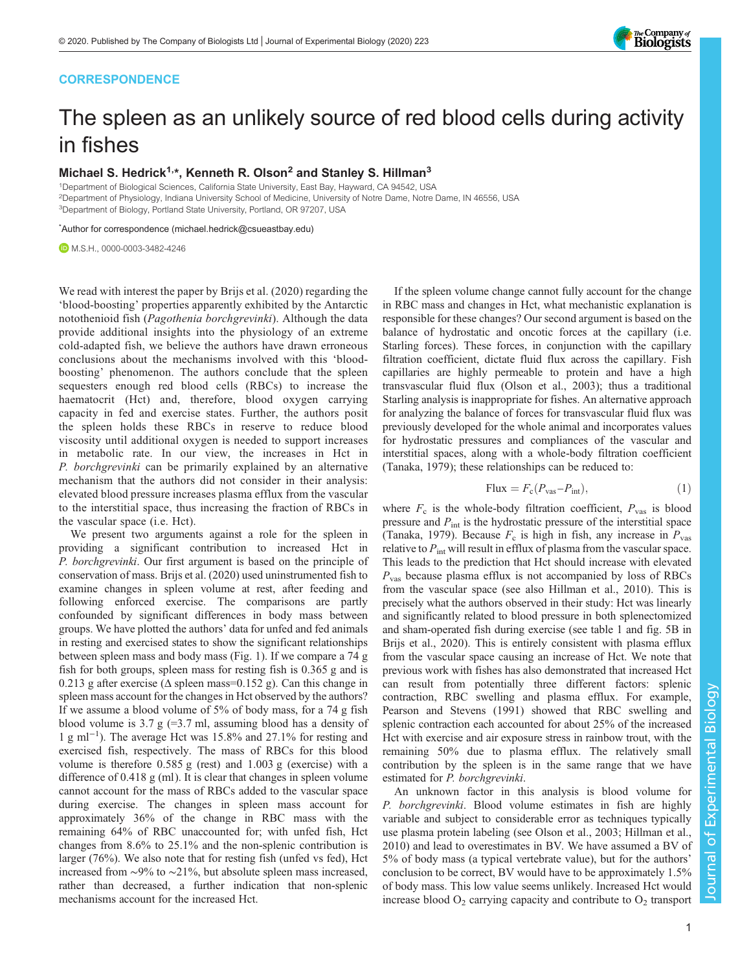## **CORRESPONDENCE**



# The spleen as an unlikely source of red blood cells during activity in fishes

## Michael S. Hedrick<sup>1,\*</sup>, Kenneth R. Olson<sup>2</sup> and Stanley S. Hillman<sup>3</sup>

1 Department of Biological Sciences, California State University, East Bay, Hayward, CA 94542, USA 2Department of Physiology, Indiana University School of Medicine, University of Notre Dame, Notre Dame, IN 46556, USA <sup>3</sup>Department of Biology, Portland State University, Portland, OR 97207, USA

\* Author for correspondence [\(michael.hedrick@csueastbay.edu\)](mailto:michael.hedrick@csueastbay.edu)

M.S.H., [0000-0003-3482-4246](http://orcid.org/0000-0003-3482-4246)

We read with interest the paper by [Brijs et al. \(2020\)](#page-1-0) regarding the 'blood-boosting' properties apparently exhibited by the Antarctic notothenioid fish (Pagothenia borchgrevinki). Although the data provide additional insights into the physiology of an extreme cold-adapted fish, we believe the authors have drawn erroneous conclusions about the mechanisms involved with this 'bloodboosting' phenomenon. The authors conclude that the spleen sequesters enough red blood cells (RBCs) to increase the haematocrit (Hct) and, therefore, blood oxygen carrying capacity in fed and exercise states. Further, the authors posit the spleen holds these RBCs in reserve to reduce blood viscosity until additional oxygen is needed to support increases in metabolic rate. In our view, the increases in Hct in P. borchgrevinki can be primarily explained by an alternative mechanism that the authors did not consider in their analysis: elevated blood pressure increases plasma efflux from the vascular to the interstitial space, thus increasing the fraction of RBCs in the vascular space (i.e. Hct).

We present two arguments against a role for the spleen in providing a significant contribution to increased Hct in P. borchgrevinki. Our first argument is based on the principle of conservation of mass. [Brijs et al. \(2020\)](#page-1-0) used uninstrumented fish to examine changes in spleen volume at rest, after feeding and following enforced exercise. The comparisons are partly confounded by significant differences in body mass between groups. We have plotted the authors' data for unfed and fed animals in resting and exercised states to show the significant relationships between spleen mass and body mass ([Fig. 1\)](#page-1-0). If we compare a 74 g fish for both groups, spleen mass for resting fish is 0.365 g and is 0.213 g after exercise ( $\Delta$  spleen mass=0.152 g). Can this change in spleen mass account for the changes in Hct observed by the authors? If we assume a blood volume of 5% of body mass, for a 74 g fish blood volume is  $3.7 \text{ g}$  (=3.7 ml, assuming blood has a density of 1 g ml−<sup>1</sup> ). The average Hct was 15.8% and 27.1% for resting and exercised fish, respectively. The mass of RBCs for this blood volume is therefore 0.585 g (rest) and 1.003 g (exercise) with a difference of 0.418 g (ml). It is clear that changes in spleen volume cannot account for the mass of RBCs added to the vascular space during exercise. The changes in spleen mass account for approximately 36% of the change in RBC mass with the remaining 64% of RBC unaccounted for; with unfed fish, Hct changes from 8.6% to 25.1% and the non-splenic contribution is larger (76%). We also note that for resting fish (unfed vs fed), Hct increased from ∼9% to ∼21%, but absolute spleen mass increased, rather than decreased, a further indication that non-splenic mechanisms account for the increased Hct.

If the spleen volume change cannot fully account for the change in RBC mass and changes in Hct, what mechanistic explanation is responsible for these changes? Our second argument is based on the balance of hydrostatic and oncotic forces at the capillary (i.e. Starling forces). These forces, in conjunction with the capillary filtration coefficient, dictate fluid flux across the capillary. Fish capillaries are highly permeable to protein and have a high transvascular fluid flux ([Olson et al., 2003\)](#page-1-0); thus a traditional Starling analysis is inappropriate for fishes. An alternative approach for analyzing the balance of forces for transvascular fluid flux was previously developed for the whole animal and incorporates values for hydrostatic pressures and compliances of the vascular and interstitial spaces, along with a whole-body filtration coefficient [\(Tanaka, 1979\)](#page-1-0); these relationships can be reduced to:

$$
\text{Flux} = F_{\text{c}}(P_{\text{vas}} - P_{\text{int}}),\tag{1}
$$

where  $F_c$  is the whole-body filtration coefficient,  $P_{\text{vas}}$  is blood pressure and  $P_{\text{int}}$  is the hydrostatic pressure of the interstitial space [\(Tanaka, 1979\)](#page-1-0). Because  $F_c$  is high in fish, any increase in  $P_{\text{vas}}$ relative to  $P_{\text{int}}$  will result in efflux of plasma from the vascular space. This leads to the prediction that Hct should increase with elevated  $P_{\text{vas}}$  because plasma efflux is not accompanied by loss of RBCs from the vascular space (see also [Hillman et al., 2010\)](#page-1-0). This is precisely what the authors observed in their study: Hct was linearly and significantly related to blood pressure in both splenectomized and sham-operated fish during exercise (see table 1 and fig. 5B in [Brijs et al., 2020](#page-1-0)). This is entirely consistent with plasma efflux from the vascular space causing an increase of Hct. We note that previous work with fishes has also demonstrated that increased Hct can result from potentially three different factors: splenic contraction, RBC swelling and plasma efflux. For example, [Pearson and Stevens \(1991\)](#page-1-0) showed that RBC swelling and splenic contraction each accounted for about 25% of the increased Hct with exercise and air exposure stress in rainbow trout, with the remaining 50% due to plasma efflux. The relatively small contribution by the spleen is in the same range that we have estimated for P. borchgrevinki.

An unknown factor in this analysis is blood volume for P. borchgrevinki. Blood volume estimates in fish are highly variable and subject to considerable error as techniques typically use plasma protein labeling (see [Olson et al., 2003](#page-1-0); [Hillman et al.,](#page-1-0) [2010\)](#page-1-0) and lead to overestimates in BV. We have assumed a BV of 5% of body mass (a typical vertebrate value), but for the authors' conclusion to be correct, BV would have to be approximately 1.5% of body mass. This low value seems unlikely. Increased Hct would increase blood  $O_2$  carrying capacity and contribute to  $O_2$  transport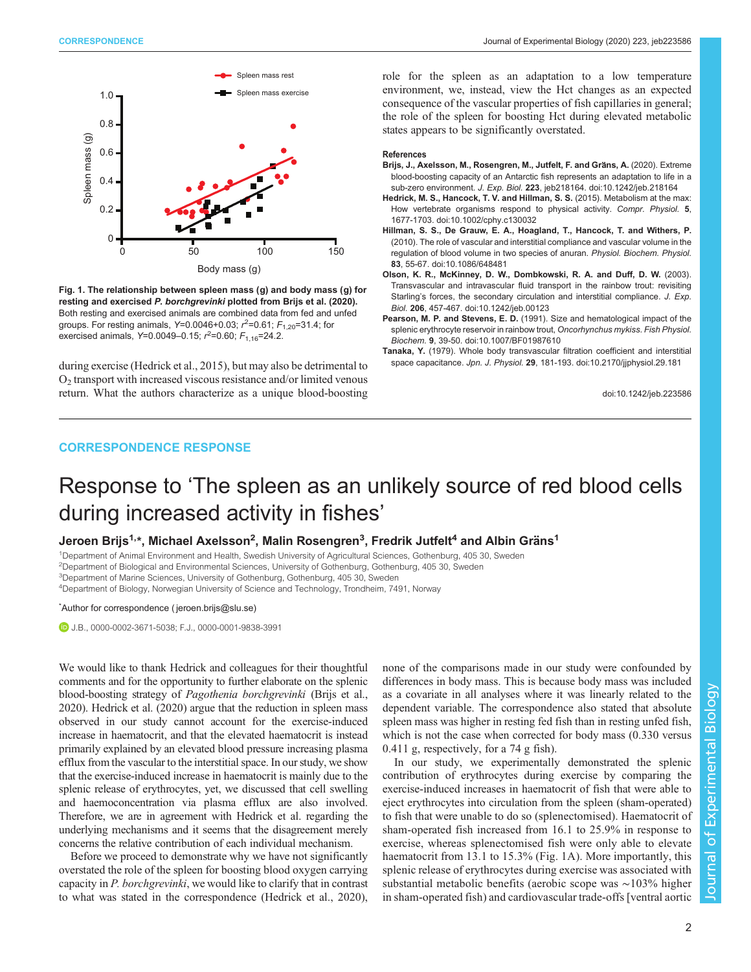<span id="page-1-0"></span>

Fig. 1. The relationship between spleen mass (g) and body mass (g) for resting and exercised P. borchgrevinki plotted from Brijs et al. (2020). Both resting and exercised animals are combined data from fed and unfed groups. For resting animals,  $Y=0.0046+0.03$ ;  $r^2=0.61$ ;  $F_{1,20}=31.4$ ; for<br>exercised animals,  $Y=0.0049, 0.15$ ;  $r^2=0.60$ ;  $F_{2,1}=24.2$ exercised animals, Y=0.0049–0.15;  $r^2$ =0.60;  $F_{1,16}$ =24.2.

during exercise (Hedrick et al., 2015), but may also be detrimental to  $O<sub>2</sub>$  transport with increased viscous resistance and/or limited venous return. What the authors characterize as a unique blood-boosting role for the spleen as an adaptation to a low temperature environment, we, instead, view the Hct changes as an expected consequence of the vascular properties of fish capillaries in general; the role of the spleen for boosting Hct during elevated metabolic states appears to be significantly overstated.

#### References

- Brijs, J., Axelsson, M., Rosengren, M., Jutfelt, F. and Gräns, A. (2020). Extreme [blood-boosting capacity of an Antarctic fish represents an adaptation to life in a](https://doi.org/10.1242/jeb.218164) sub-zero environment. J. Exp. Biol. <sup>223</sup>[, jeb218164. doi:10.1242/jeb.218164](https://doi.org/10.1242/jeb.218164)
- [Hedrick, M. S., Hancock, T. V. and Hillman, S. S.](https://doi.org/10.1002/cphy.c130032) (2015). Metabolism at the max: [How vertebrate organisms respond to physical activity.](https://doi.org/10.1002/cphy.c130032) Compr. Physiol. <sup>5</sup>, [1677-1703. doi:10.1002/cphy.c130032](https://doi.org/10.1002/cphy.c130032)
- [Hillman, S. S., De Grauw, E. A., Hoagland, T., Hancock, T. and Withers, P.](https://doi.org/10.1086/648481) [\(2010\). The role of vascular and interstitial compliance and vascular volume in the](https://doi.org/10.1086/648481) [regulation of blood volume in two species of anuran.](https://doi.org/10.1086/648481) Physiol. Biochem. Physiol. 83[, 55-67. doi:10.1086/648481](https://doi.org/10.1086/648481)
- [Olson, K. R., McKinney, D. W., Dombkowski, R. A. and Duff, D. W.](https://doi.org/10.1242/jeb.00123) (2003). [Transvascular and intravascular fluid transport in the rainbow trout: revisiting](https://doi.org/10.1242/jeb.00123) Starling'[s forces, the secondary circulation and interstitial compliance.](https://doi.org/10.1242/jeb.00123) J. Exp.<br>Biol. 206, 457-467. doi:10.1242/jeb.00123
- Biol. 206[, 457-467. doi:10.1242/jeb.00123](https://doi.org/10.1242/jeb.00123)<br>Pearson, M. P. and Stevens, E. D. [\(1991\). Size and hematological impact of the](https://doi.org/10.1007/BF01987610) [splenic erythrocyte reservoir in rainbow trout,](https://doi.org/10.1007/BF01987610) Oncorhynchus mykiss. Fish Physiol. Biochem. <sup>9</sup>[, 39-50. doi:10.1007/BF01987610](https://doi.org/10.1007/BF01987610)
- Tanaka, Y. [\(1979\). Whole body transvascular filtration coefficient and interstitial](https://doi.org/10.2170/jjphysiol.29.181) space capacitance. Jpn. J. Physiol. <sup>29</sup>[, 181-193. doi:10.2170/jjphysiol.29.181](https://doi.org/10.2170/jjphysiol.29.181)

doi:10.1242/jeb.223586

### CORRESPONDENCE RESPONSE

## Response to 'The spleen as an unlikely source of red blood cells during increased activity in fishes'

Jeroen Brijs<sup>1,</sup>\*, Michael Axelsson<sup>2</sup>, Malin Rosengren<sup>3</sup>, Fredrik Jutfelt<sup>4</sup> and Albin Gräns<sup>1</sup>

1 Department of Animal Environment and Health, Swedish University of Agricultural Sciences, Gothenburg, 405 30, Sweden 2Department of Biological and Environmental Sciences, University of Gothenburg, Gothenburg, 405 30, Sweden <sup>3</sup>Department of Marine Sciences, University of Gothenburg, Gothenburg, 405 30, Sweden

4 Department of Biology, Norwegian University of Science and Technology, Trondheim, 7491, Norway

#### \* Author for correspondence [\( jeroen.brijs@slu.se\)](mailto:jeroen.brijs@slu.se)

J.B., [0000-0002-3671-5038;](http://orcid.org/0000-0002-3671-5038) F.J., [0000-0001-9838-3991](http://orcid.org/0000-0001-9838-3991)

We would like to thank Hedrick and colleagues for their thoughtful comments and for the opportunity to further elaborate on the splenic blood-boosting strategy of Pagothenia borchgrevinki ([Brijs et al.,](#page-3-0) [2020\)](#page-3-0). [Hedrick et al. \(2020\)](#page-3-0) argue that the reduction in spleen mass observed in our study cannot account for the exercise-induced increase in haematocrit, and that the elevated haematocrit is instead primarily explained by an elevated blood pressure increasing plasma efflux from the vascular to the interstitial space. In our study, we show that the exercise-induced increase in haematocrit is mainly due to the splenic release of erythrocytes, yet, we discussed that cell swelling and haemoconcentration via plasma efflux are also involved. Therefore, we are in agreement with Hedrick et al. regarding the underlying mechanisms and it seems that the disagreement merely concerns the relative contribution of each individual mechanism.

Before we proceed to demonstrate why we have not significantly overstated the role of the spleen for boosting blood oxygen carrying capacity in P. borchgrevinki, we would like to clarify that in contrast to what was stated in the correspondence [\(Hedrick et al., 2020\)](#page-3-0), none of the comparisons made in our study were confounded by differences in body mass. This is because body mass was included as a covariate in all analyses where it was linearly related to the dependent variable. The correspondence also stated that absolute spleen mass was higher in resting fed fish than in resting unfed fish, which is not the case when corrected for body mass (0.330 versus 0.411 g, respectively, for a 74 g fish).

In our study, we experimentally demonstrated the splenic contribution of erythrocytes during exercise by comparing the exercise-induced increases in haematocrit of fish that were able to eject erythrocytes into circulation from the spleen (sham-operated) to fish that were unable to do so (splenectomised). Haematocrit of sham-operated fish increased from 16.1 to 25.9% in response to exercise, whereas splenectomised fish were only able to elevate haematocrit from 13.1 to 15.3% ([Fig. 1A](#page-2-0)). More importantly, this splenic release of erythrocytes during exercise was associated with substantial metabolic benefits (aerobic scope was ∼103% higher in sham-operated fish) and cardiovascular trade-offs [ventral aortic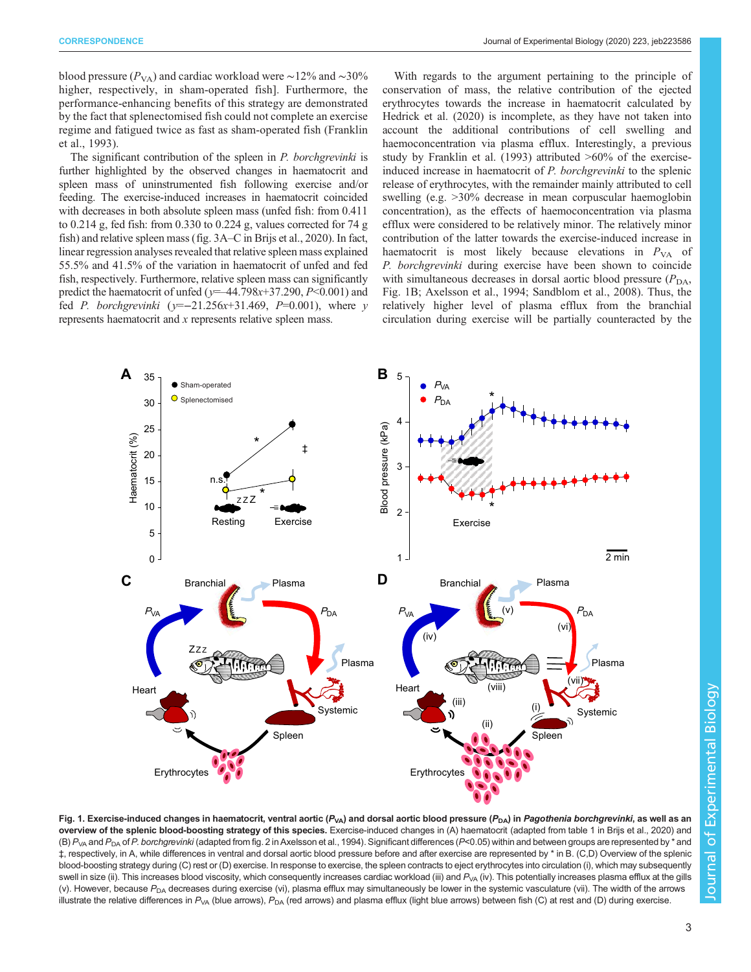<span id="page-2-0"></span>blood pressure ( $P_{VA}$ ) and cardiac workload were ~12% and ~30% higher, respectively, in sham-operated fish]. Furthermore, the performance-enhancing benefits of this strategy are demonstrated by the fact that splenectomised fish could not complete an exercise regime and fatigued twice as fast as sham-operated fish ([Franklin](#page-3-0) [et al., 1993\)](#page-3-0).

The significant contribution of the spleen in P. borchgrevinki is further highlighted by the observed changes in haematocrit and spleen mass of uninstrumented fish following exercise and/or feeding. The exercise-induced increases in haematocrit coincided with decreases in both absolute spleen mass (unfed fish: from 0.411 to 0.214 g, fed fish: from 0.330 to 0.224 g, values corrected for 74 g fish) and relative spleen mass (fig. 3A–C in [Brijs et al., 2020](#page-3-0)). In fact, linear regression analyses revealed that relative spleen mass explained 55.5% and 41.5% of the variation in haematocrit of unfed and fed fish, respectively. Furthermore, relative spleen mass can significantly predict the haematocrit of unfed ( $y=44.798x+37.290$ ,  $P<0.001$ ) and fed *P. borchgrevinki* ( $y=-21.256x+31.469$ ,  $P=0.001$ ), where y represents haematocrit and x represents relative spleen mass.

With regards to the argument pertaining to the principle of conservation of mass, the relative contribution of the ejected erythrocytes towards the increase in haematocrit calculated by [Hedrick et al. \(2020\)](#page-3-0) is incomplete, as they have not taken into account the additional contributions of cell swelling and haemoconcentration via plasma efflux. Interestingly, a previous study by [Franklin et al. \(1993\)](#page-3-0) attributed >60% of the exerciseinduced increase in haematocrit of P. borchgrevinki to the splenic release of erythrocytes, with the remainder mainly attributed to cell swelling (e.g. >30% decrease in mean corpuscular haemoglobin concentration), as the effects of haemoconcentration via plasma efflux were considered to be relatively minor. The relatively minor contribution of the latter towards the exercise-induced increase in haematocrit is most likely because elevations in  $P_{VA}$  of P. borchgrevinki during exercise have been shown to coincide with simultaneous decreases in dorsal aortic blood pressure  $(P_{DA}$ , Fig. 1B; [Axelsson et al., 1994; Sandblom et al., 2008](#page-3-0)). Thus, the relatively higher level of plasma efflux from the branchial circulation during exercise will be partially counteracted by the



Fig. 1. Exercise-induced changes in haematocrit, ventral aortic ( $P_{VA}$ ) and dorsal aortic blood pressure ( $P_{DA}$ ) in Pagothenia borchgrevinki, as well as an overview of the splenic blood-boosting strategy of this species. Exercise-induced changes in (A) haematocrit (adapted from table 1 in [Brijs et al., 2020](#page-3-0)) and (B)  $P_{VA}$  and  $P_{DA}$  of P. borchgrevinki (adapted from fig. 2 in [Axelsson et al., 1994](#page-3-0)). Significant differences (P<0.05) within and between groups are represented by \* and ‡, respectively, in A, while differences in ventral and dorsal aortic blood pressure before and after exercise are represented by \* in B. (C,D) Overview of the splenic blood-boosting strategy during (C) rest or (D) exercise. In response to exercise, the spleen contracts to eject erythrocytes into circulation (i), which may subsequently swell in size (ii). This increases blood viscosity, which consequently increases cardiac workload (iii) and  $P_{VA}$  (iv). This potentially increases plasma efflux at the gills (v). However, because  $P_{DA}$  decreases during exercise (vi), plasma efflux may simultaneously be lower in the systemic vasculature (vii). The width of the arrows illustrate the relative differences in  $P_{VA}$  (blue arrows),  $P_{DA}$  (red arrows) and plasma efflux (light blue arrows) between fish (C) at rest and (D) during exercise.